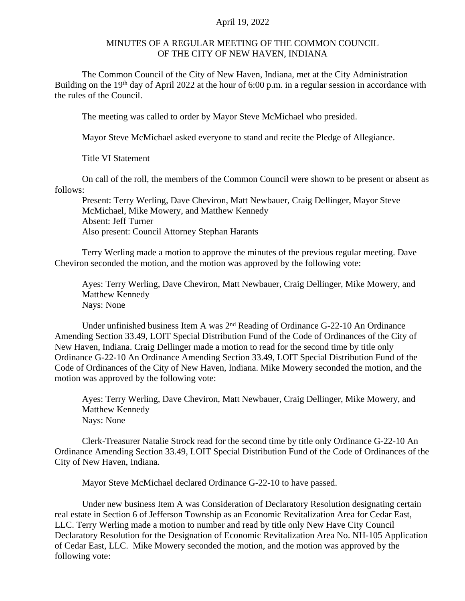## April 19, 2022

## MINUTES OF A REGULAR MEETING OF THE COMMON COUNCIL OF THE CITY OF NEW HAVEN, INDIANA

The Common Council of the City of New Haven, Indiana, met at the City Administration Building on the 19<sup>th</sup> day of April 2022 at the hour of 6:00 p.m. in a regular session in accordance with the rules of the Council.

The meeting was called to order by Mayor Steve McMichael who presided.

Mayor Steve McMichael asked everyone to stand and recite the Pledge of Allegiance.

Title VI Statement

On call of the roll, the members of the Common Council were shown to be present or absent as follows:

Present: Terry Werling, Dave Cheviron, Matt Newbauer, Craig Dellinger, Mayor Steve McMichael, Mike Mowery, and Matthew Kennedy Absent: Jeff Turner Also present: Council Attorney Stephan Harants

Terry Werling made a motion to approve the minutes of the previous regular meeting. Dave Cheviron seconded the motion, and the motion was approved by the following vote:

Ayes: Terry Werling, Dave Cheviron, Matt Newbauer, Craig Dellinger, Mike Mowery, and Matthew Kennedy Nays: None

Under unfinished business Item A was 2<sup>nd</sup> Reading of Ordinance G-22-10 An Ordinance Amending Section 33.49, LOIT Special Distribution Fund of the Code of Ordinances of the City of New Haven, Indiana. Craig Dellinger made a motion to read for the second time by title only Ordinance G-22-10 An Ordinance Amending Section 33.49, LOIT Special Distribution Fund of the Code of Ordinances of the City of New Haven, Indiana. Mike Mowery seconded the motion, and the motion was approved by the following vote:

Ayes: Terry Werling, Dave Cheviron, Matt Newbauer, Craig Dellinger, Mike Mowery, and Matthew Kennedy Nays: None

Clerk-Treasurer Natalie Strock read for the second time by title only Ordinance G-22-10 An Ordinance Amending Section 33.49, LOIT Special Distribution Fund of the Code of Ordinances of the City of New Haven, Indiana.

Mayor Steve McMichael declared Ordinance G-22-10 to have passed.

Under new business Item A was Consideration of Declaratory Resolution designating certain real estate in Section 6 of Jefferson Township as an Economic Revitalization Area for Cedar East, LLC. Terry Werling made a motion to number and read by title only New Have City Council Declaratory Resolution for the Designation of Economic Revitalization Area No. NH-105 Application of Cedar East, LLC. Mike Mowery seconded the motion, and the motion was approved by the following vote: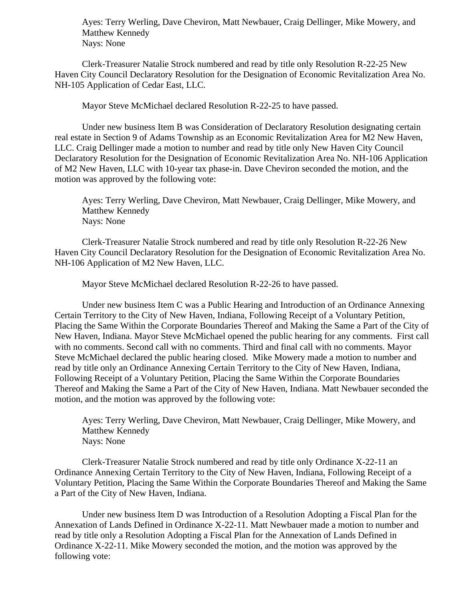Ayes: Terry Werling, Dave Cheviron, Matt Newbauer, Craig Dellinger, Mike Mowery, and Matthew Kennedy Nays: None

Clerk-Treasurer Natalie Strock numbered and read by title only Resolution R-22-25 New Haven City Council Declaratory Resolution for the Designation of Economic Revitalization Area No. NH-105 Application of Cedar East, LLC.

Mayor Steve McMichael declared Resolution R-22-25 to have passed.

Under new business Item B was Consideration of Declaratory Resolution designating certain real estate in Section 9 of Adams Township as an Economic Revitalization Area for M2 New Haven, LLC. Craig Dellinger made a motion to number and read by title only New Haven City Council Declaratory Resolution for the Designation of Economic Revitalization Area No. NH-106 Application of M2 New Haven, LLC with 10-year tax phase-in. Dave Cheviron seconded the motion, and the motion was approved by the following vote:

Ayes: Terry Werling, Dave Cheviron, Matt Newbauer, Craig Dellinger, Mike Mowery, and Matthew Kennedy Nays: None

Clerk-Treasurer Natalie Strock numbered and read by title only Resolution R-22-26 New Haven City Council Declaratory Resolution for the Designation of Economic Revitalization Area No. NH-106 Application of M2 New Haven, LLC.

Mayor Steve McMichael declared Resolution R-22-26 to have passed.

Under new business Item C was a Public Hearing and Introduction of an Ordinance Annexing Certain Territory to the City of New Haven, Indiana, Following Receipt of a Voluntary Petition, Placing the Same Within the Corporate Boundaries Thereof and Making the Same a Part of the City of New Haven, Indiana. Mayor Steve McMichael opened the public hearing for any comments. First call with no comments. Second call with no comments. Third and final call with no comments. Mayor Steve McMichael declared the public hearing closed. Mike Mowery made a motion to number and read by title only an Ordinance Annexing Certain Territory to the City of New Haven, Indiana, Following Receipt of a Voluntary Petition, Placing the Same Within the Corporate Boundaries Thereof and Making the Same a Part of the City of New Haven, Indiana. Matt Newbauer seconded the motion, and the motion was approved by the following vote:

Ayes: Terry Werling, Dave Cheviron, Matt Newbauer, Craig Dellinger, Mike Mowery, and Matthew Kennedy Nays: None

Clerk-Treasurer Natalie Strock numbered and read by title only Ordinance X-22-11 an Ordinance Annexing Certain Territory to the City of New Haven, Indiana, Following Receipt of a Voluntary Petition, Placing the Same Within the Corporate Boundaries Thereof and Making the Same a Part of the City of New Haven, Indiana.

Under new business Item D was Introduction of a Resolution Adopting a Fiscal Plan for the Annexation of Lands Defined in Ordinance X-22-11. Matt Newbauer made a motion to number and read by title only a Resolution Adopting a Fiscal Plan for the Annexation of Lands Defined in Ordinance X-22-11. Mike Mowery seconded the motion, and the motion was approved by the following vote: